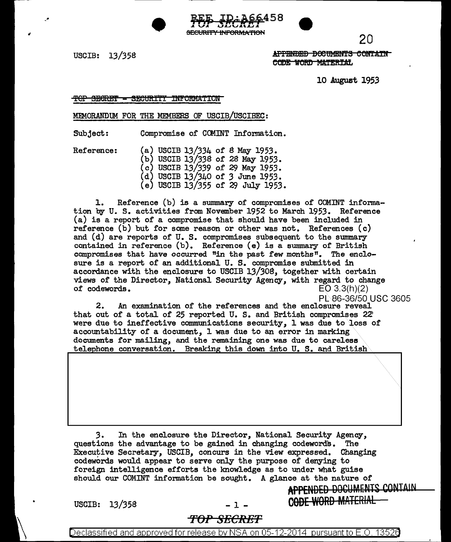



USCIB: 13/358

 $\bullet$ 

.Aff'BNf)Ef) BeetJMlil:lff S e Olff:A:m CODE WORD MATERIAL

10 August 1953

20

···························· ...

CODE WORD MATERIAL

TOP SECRET - SECURITI INFORMATION

MEMORANDUM FOR THE MEMBERS OF USCIB/USCIBEC:

Subject: Compromise of COMINT Information.

Reference:

 $(a)$  USCIB 13/334 of 8 May 1953. (b) USCIB 13/338 of 28 May 1953. (c) USCIB 13/339 of 29 May 1953. (d) USCIB 13/340 of 3 June 1953. (e) USCIB 13/355 of 29 July 1953.

1. Reference (b) is a summary of compromises of COMINT information by U. s. activities from November 1952 to March 1953. Reference (a) is a report of a compromise that should have been included in reference (b) but for some reason or other was not. References (c) and (d) are reports of U. S. compromises subsequent to the summary contained in reference (b). Reference (e) is a summary of British compromises that have occurred "in the past few months". The enclosure is a report of an additional U. S. compromise submitted in accordance with the enclosure to USCIB 13/308, together with certain views of the Director, National Security Agency, with regard to change of codewords.  $EO(3.3(h)/2)$ of codewords.

PL86-36/50 USC 3605 2. An examination of the references and the enclosure reveal that out of a total of 25 reported U. S. and British compromises 22 were due to ineffective communications security, l was due to loss of accountability of a document, 1 was due to an error in marking documents for mailing, and the remaining one was due to careless telephone conversation. Breaking this down into U. S. and British

*3.* In the enclosure the Director, National Security Agency, questions the advantage to be gained in changing codewords. Executive Secretary, USCIB, concurs in the view expressed. Changing codew0rds would appear to serve only the purpose of denying to foreign intelligence efforts the knowledge as to under what guise should our COMINT information be sought. A glance at the nature of APPENDED DOCUMENTS CONTAIN

USCIB:  $13/358$  - 1 -

*TOP SECRET* 

Declassified and approved for release by NSA on 05-12-2014 pursuantto E .0. 1352a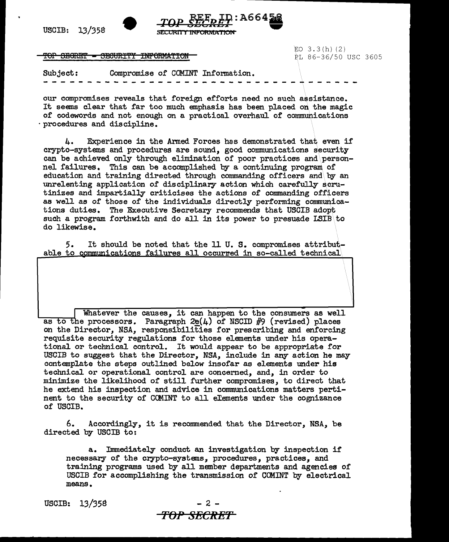USCIB: 13/358



TOP SEGRET - SECURITY INFORMATION

 $EO$  3.3 $(h)$  (2) PL 86-36/50 USC 3605

Subject: Compromise of COMINT Information.

our compromises reveals that foreign efforts need no such assistance. It seems clear that far too much emphasis has been placed on the magic of codewords and not enough on a practical overhaul of communications ·procedures and discipline.

4. Experience in the Armed Forces has demonstrated that even if crypto-systems and procedures are sound, good communications security can be achieved only through elimination of poor practices and\personnel failures. This can be accomplished by a continuing program of education and training directed through commanding officers and\. by an unrelenting application of disciplinary action which carefully scrutinizes and impartially criticises the actions of commanding officers as well as of those of the individuals directly performing communications duties. The Executive Secretary recommends that USCIB adopt such a program forthwith and do all in its power to presuade LSIB to do likewise.

5. able to communications failures all occurred in so-called technical It should be noted that the 11 U. S. compromises attribut-

Whatever the causes, it can happen to the consumers as well as to the processors. Paragraph  $2e(4)$  of NSCID #9 (revised) places on the Director, *NSA,* responsibilities for prescribing and enforcing requisite security regulations for those elements under his operational or technical control. It would appear to be appropriate for USCIB to suggest that the Director, NSA, include in any action he may contemplate the steps outlined below insofar as elements under his technical or operational control are concerned, and, in order to minimize the likelihood of still further compromises, to direct that he extend his inspection and advice in communications matters pertinent to the security of COMINT to all elements under the cognizance of USCIB.

6. Accordingly, it is recommended that the Director, NSA, be directed by USCIB to:

a. Immediately conduct an investigation by inspection if necessary of the crypto-systems, procedures, practices, and trajning programs used by all member departments and agencies of USCIB for accomplishing the transmission of COMINT by electrical means.



**rOPSECRE'T**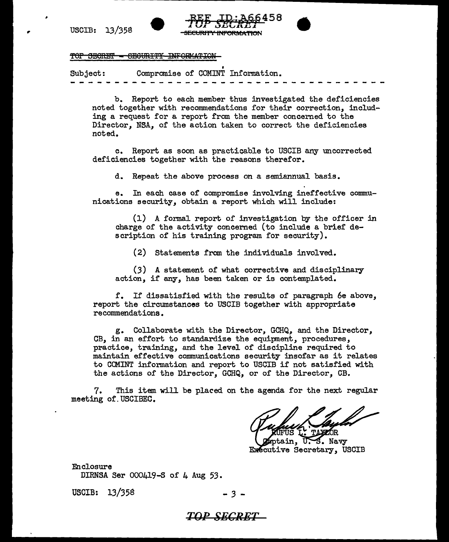..





## TOP SECRET = SEGURITY INFORMATION

Subject: Compromise of COMINT Information.

b. Report to each member thus investigated the deficiencies noted together with recommendations for their correction, including a request for a report from the member concerned to the Director, NSA, of the action taken to correct the deficiencies noted.

c. Report as soon as practicable to USCIB any uncorrected deficiencies together with the reasons therefor.

d. Repeat the above process on a semiannual basis.

e. In each case of compromise involving ineffective communications security, obtain a report which will include:

(1) A formal report of investigation by the officer in charge of the activity concerned (to include a brief description of his training program for security).

(2) Statements from the individuals involved.

(3) A statement of what corrective and disciplinary action, if any, has been taken or is contemplated.

f. If dissatisfied with the results of paragraph 6e above, report the circumstances to USCIB together with appropriate recommendations.

g. Collaborate with the Director, GCHQ, and the Director, CB, in an effort to standardize the equipment, procedures, practice, training, and the level of discipline required to maintain effective communications security insofar as it relates to CCMINT information and report to USCIB if not satisfied with the actions of the Director, GCHQ, or of the Director, CB.

7. This item will be placed on the agenda for the next regular meeting of.USCIBEC.

otain. S. Navy Executive Secretary, USCIB

Enclosure DIRNSA Ser 000419-S of 4 Aug 53.

USCIB: 13/358 - 3 -

## *TO!' SECRET*